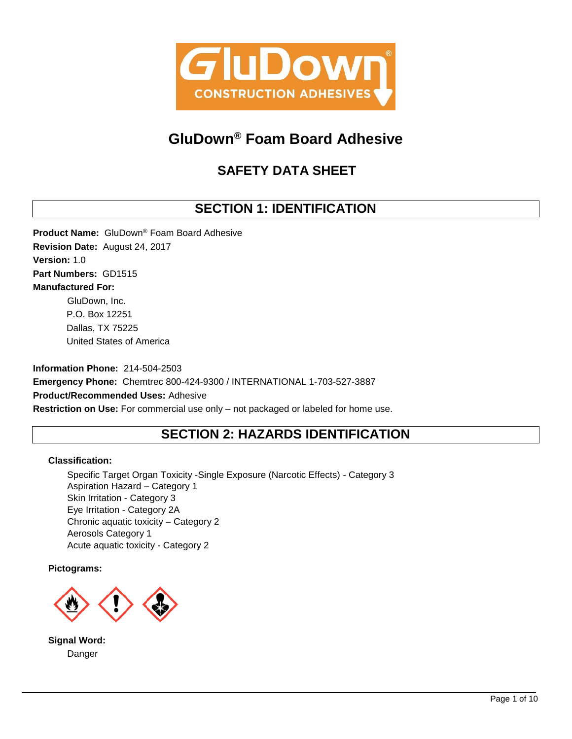

# **GluDown® Foam Board Adhesive**

# **SAFETY DATA SHEET**

## **SECTION 1: IDENTIFICATION**

**Product Name:** GluDown® Foam Board Adhesive **Revision Date:** August 24, 2017 **Version:** 1.0 **Part Numbers:** GD1515 **Manufactured For:** GluDown, Inc. P.O. Box 12251 Dallas, TX 75225 United States of America

**Information Phone:** 214-504-2503 **Emergency Phone:** Chemtrec 800-424-9300 / INTERNATIONAL 1-703-527-3887 **Product/Recommended Uses:** Adhesive **Restriction on Use:** For commercial use only – not packaged or labeled for home use.

## **SECTION 2: HAZARDS IDENTIFICATION**

## **Classification:**

Specific Target Organ Toxicity -Single Exposure (Narcotic Effects) - Category 3 Aspiration Hazard – Category 1 Skin Irritation - Category 3 Eye Irritation - Category 2A Chronic aquatic toxicity – Category 2 Aerosols Category 1 Acute aquatic toxicity - Category 2

**Pictograms:**



**Signal Word:** Danger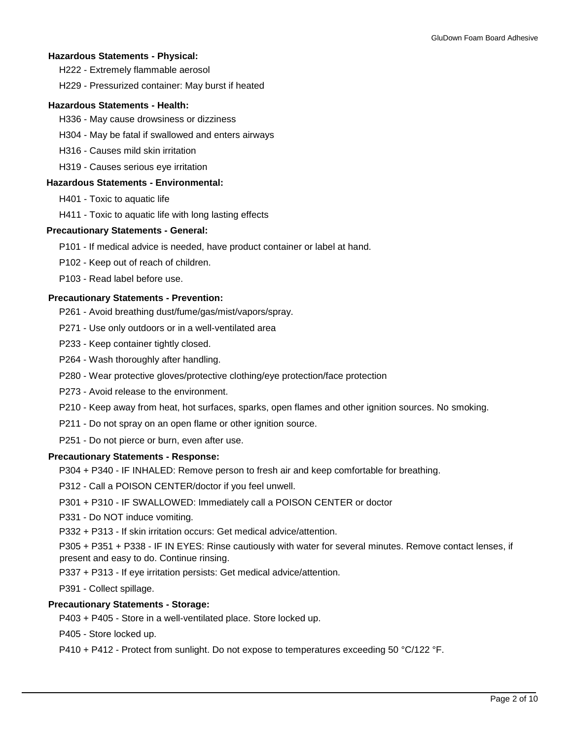## **Hazardous Statements - Physical:**

H222 - Extremely flammable aerosol

H229 - Pressurized container: May burst if heated

## **Hazardous Statements - Health:**

- H336 May cause drowsiness or dizziness
- H304 May be fatal if swallowed and enters airways
- H316 Causes mild skin irritation
- H319 Causes serious eye irritation

### **Hazardous Statements - Environmental:**

- H401 Toxic to aquatic life
- H411 Toxic to aquatic life with long lasting effects

### **Precautionary Statements - General:**

- P101 If medical advice is needed, have product container or label at hand.
- P102 Keep out of reach of children.
- P103 Read label before use.

## **Precautionary Statements - Prevention:**

- P261 Avoid breathing dust/fume/gas/mist/vapors/spray.
- P271 Use only outdoors or in a well-ventilated area
- P233 Keep container tightly closed.
- P264 Wash thoroughly after handling.
- P280 Wear protective gloves/protective clothing/eye protection/face protection
- P273 Avoid release to the environment.
- P210 Keep away from heat, hot surfaces, sparks, open flames and other ignition sources. No smoking.
- P211 Do not spray on an open flame or other ignition source.
- P251 Do not pierce or burn, even after use.

### **Precautionary Statements - Response:**

- P304 + P340 IF INHALED: Remove person to fresh air and keep comfortable for breathing.
- P312 Call a POISON CENTER/doctor if you feel unwell.
- P301 + P310 IF SWALLOWED: Immediately call a POISON CENTER or doctor
- P331 Do NOT induce vomiting.
- P332 + P313 If skin irritation occurs: Get medical advice/attention.
- P305 + P351 + P338 IF IN EYES: Rinse cautiously with water for several minutes. Remove contact lenses, if present and easy to do. Continue rinsing.
- P337 + P313 If eye irritation persists: Get medical advice/attention.
- P391 Collect spillage.

### **Precautionary Statements - Storage:**

- P403 + P405 Store in a well-ventilated place. Store locked up.
- P405 Store locked up.
- P410 + P412 Protect from sunlight. Do not expose to temperatures exceeding 50 °C/122 °F.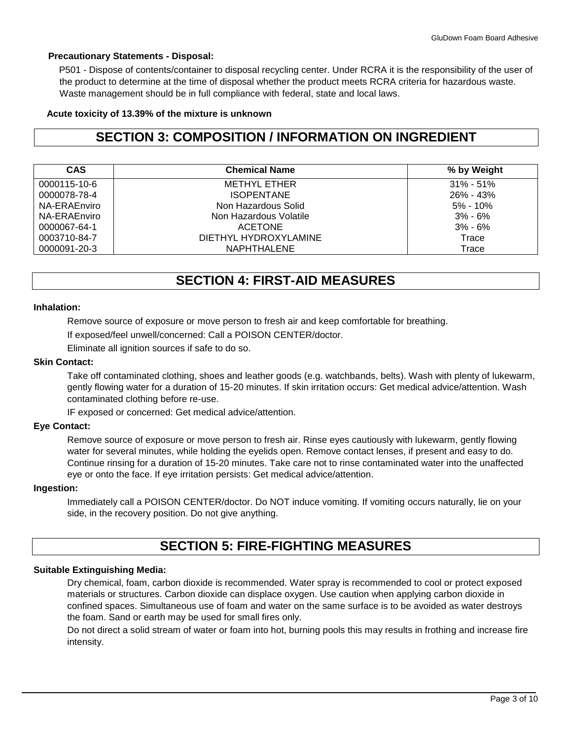## **Precautionary Statements - Disposal:**

P501 - Dispose of contents/container to disposal recycling center. Under RCRA it is the responsibility of the user of the product to determine at the time of disposal whether the product meets RCRA criteria for hazardous waste. Waste management should be in full compliance with federal, state and local laws.

## **Acute toxicity of 13.39% of the mixture is unknown**

## **SECTION 3: COMPOSITION / INFORMATION ON INGREDIENT**

| <b>CAS</b>   | <b>Chemical Name</b>   | % by Weight   |
|--------------|------------------------|---------------|
| 0000115-10-6 | METHYL ETHER           | $31\% - 51\%$ |
| 0000078-78-4 | <b>ISOPENTANE</b>      | 26% - 43%     |
| NA-ERAEnviro | Non Hazardous Solid    | $5\% - 10\%$  |
| NA-ERAEnviro | Non Hazardous Volatile | $3\% - 6\%$   |
| 0000067-64-1 | <b>ACETONE</b>         | $3% - 6%$     |
| 0003710-84-7 | DIETHYL HYDROXYLAMINE  | Trace         |
| 0000091-20-3 | NAPHTHALENE            | Trace         |

## **SECTION 4: FIRST-AID MEASURES**

### **Inhalation:**

Remove source of exposure or move person to fresh air and keep comfortable for breathing.

If exposed/feel unwell/concerned: Call a POISON CENTER/doctor.

Eliminate all ignition sources if safe to do so.

### **Skin Contact:**

Take off contaminated clothing, shoes and leather goods (e.g. watchbands, belts). Wash with plenty of lukewarm, gently flowing water for a duration of 15-20 minutes. If skin irritation occurs: Get medical advice/attention. Wash contaminated clothing before re-use.

IF exposed or concerned: Get medical advice/attention.

### **Eye Contact:**

Remove source of exposure or move person to fresh air. Rinse eyes cautiously with lukewarm, gently flowing water for several minutes, while holding the eyelids open. Remove contact lenses, if present and easy to do. Continue rinsing for a duration of 15-20 minutes. Take care not to rinse contaminated water into the unaffected eye or onto the face. If eye irritation persists: Get medical advice/attention.

### **Ingestion:**

Immediately call a POISON CENTER/doctor. Do NOT induce vomiting. If vomiting occurs naturally, lie on your side, in the recovery position. Do not give anything.

## **SECTION 5: FIRE-FIGHTING MEASURES**

## **Suitable Extinguishing Media:**

Dry chemical, foam, carbon dioxide is recommended. Water spray is recommended to cool or protect exposed materials or structures. Carbon dioxide can displace oxygen. Use caution when applying carbon dioxide in confined spaces. Simultaneous use of foam and water on the same surface is to be avoided as water destroys the foam. Sand or earth may be used for small fires only.

Do not direct a solid stream of water or foam into hot, burning pools this may results in frothing and increase fire intensity.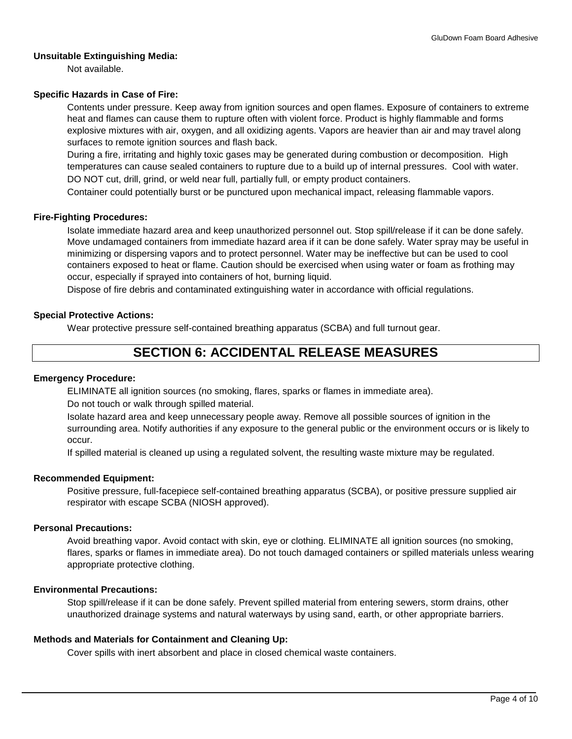### **Unsuitable Extinguishing Media:**

Not available.

#### **Specific Hazards in Case of Fire:**

Contents under pressure. Keep away from ignition sources and open flames. Exposure of containers to extreme heat and flames can cause them to rupture often with violent force. Product is highly flammable and forms explosive mixtures with air, oxygen, and all oxidizing agents. Vapors are heavier than air and may travel along surfaces to remote ignition sources and flash back.

During a fire, irritating and highly toxic gases may be generated during combustion or decomposition. High temperatures can cause sealed containers to rupture due to a build up of internal pressures. Cool with water.

DO NOT cut, drill, grind, or weld near full, partially full, or empty product containers.

Container could potentially burst or be punctured upon mechanical impact, releasing flammable vapors.

#### **Fire-Fighting Procedures:**

Isolate immediate hazard area and keep unauthorized personnel out. Stop spill/release if it can be done safely. Move undamaged containers from immediate hazard area if it can be done safely. Water spray may be useful in minimizing or dispersing vapors and to protect personnel. Water may be ineffective but can be used to cool containers exposed to heat or flame. Caution should be exercised when using water or foam as frothing may occur, especially if sprayed into containers of hot, burning liquid.

Dispose of fire debris and contaminated extinguishing water in accordance with official regulations.

#### **Special Protective Actions:**

Wear protective pressure self-contained breathing apparatus (SCBA) and full turnout gear.

## **SECTION 6: ACCIDENTAL RELEASE MEASURES**

#### **Emergency Procedure:**

ELIMINATE all ignition sources (no smoking, flares, sparks or flames in immediate area).

Do not touch or walk through spilled material.

Isolate hazard area and keep unnecessary people away. Remove all possible sources of ignition in the surrounding area. Notify authorities if any exposure to the general public or the environment occurs or is likely to occur.

If spilled material is cleaned up using a regulated solvent, the resulting waste mixture may be regulated.

#### **Recommended Equipment:**

Positive pressure, full-facepiece self-contained breathing apparatus (SCBA), or positive pressure supplied air respirator with escape SCBA (NIOSH approved).

### **Personal Precautions:**

Avoid breathing vapor. Avoid contact with skin, eye or clothing. ELIMINATE all ignition sources (no smoking, flares, sparks or flames in immediate area). Do not touch damaged containers or spilled materials unless wearing appropriate protective clothing.

#### **Environmental Precautions:**

Stop spill/release if it can be done safely. Prevent spilled material from entering sewers, storm drains, other unauthorized drainage systems and natural waterways by using sand, earth, or other appropriate barriers.

#### **Methods and Materials for Containment and Cleaning Up:**

Cover spills with inert absorbent and place in closed chemical waste containers.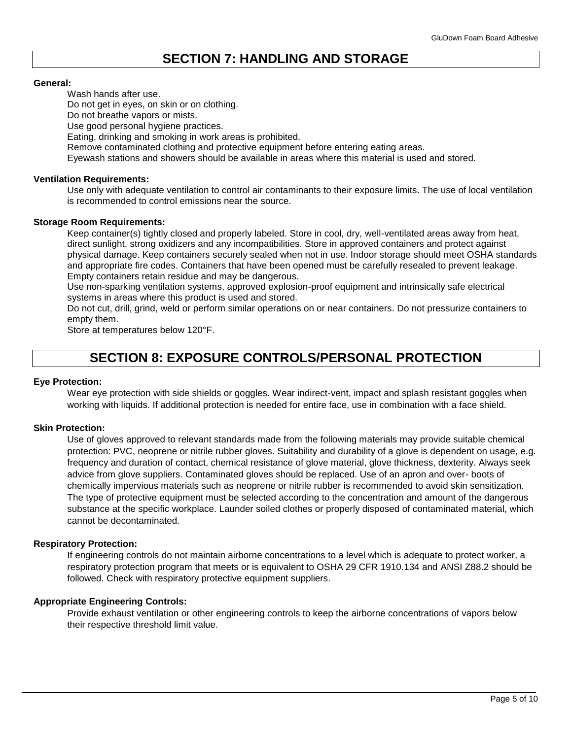## **SECTION 7: HANDLING AND STORAGE**

#### **General:**

Wash hands after use.

Do not get in eyes, on skin or on clothing.

Do not breathe vapors or mists.

Use good personal hygiene practices.

Eating, drinking and smoking in work areas is prohibited.

Remove contaminated clothing and protective equipment before entering eating areas.

Eyewash stations and showers should be available in areas where this material is used and stored.

### **Ventilation Requirements:**

Use only with adequate ventilation to control air contaminants to their exposure limits. The use of local ventilation is recommended to control emissions near the source.

#### **Storage Room Requirements:**

Keep container(s) tightly closed and properly labeled. Store in cool, dry, well-ventilated areas away from heat, direct sunlight, strong oxidizers and any incompatibilities. Store in approved containers and protect against physical damage. Keep containers securely sealed when not in use. Indoor storage should meet OSHA standards and appropriate fire codes. Containers that have been opened must be carefully resealed to prevent leakage. Empty containers retain residue and may be dangerous.

Use non-sparking ventilation systems, approved explosion-proof equipment and intrinsically safe electrical systems in areas where this product is used and stored.

Do not cut, drill, grind, weld or perform similar operations on or near containers. Do not pressurize containers to empty them.

Store at temperatures below 120°F.

## **SECTION 8: EXPOSURE CONTROLS/PERSONAL PROTECTION**

#### **Eye Protection:**

Wear eye protection with side shields or goggles. Wear indirect-vent, impact and splash resistant goggles when working with liquids. If additional protection is needed for entire face, use in combination with a face shield.

#### **Skin Protection:**

Use of gloves approved to relevant standards made from the following materials may provide suitable chemical protection: PVC, neoprene or nitrile rubber gloves. Suitability and durability of a glove is dependent on usage, e.g. frequency and duration of contact, chemical resistance of glove material, glove thickness, dexterity. Always seek advice from glove suppliers. Contaminated gloves should be replaced. Use of an apron and over- boots of chemically impervious materials such as neoprene or nitrile rubber is recommended to avoid skin sensitization. The type of protective equipment must be selected according to the concentration and amount of the dangerous substance at the specific workplace. Launder soiled clothes or properly disposed of contaminated material, which cannot be decontaminated.

#### **Respiratory Protection:**

If engineering controls do not maintain airborne concentrations to a level which is adequate to protect worker, a respiratory protection program that meets or is equivalent to OSHA 29 CFR 1910.134 and ANSI Z88.2 should be followed. Check with respiratory protective equipment suppliers.

#### **Appropriate Engineering Controls:**

Provide exhaust ventilation or other engineering controls to keep the airborne concentrations of vapors below their respective threshold limit value.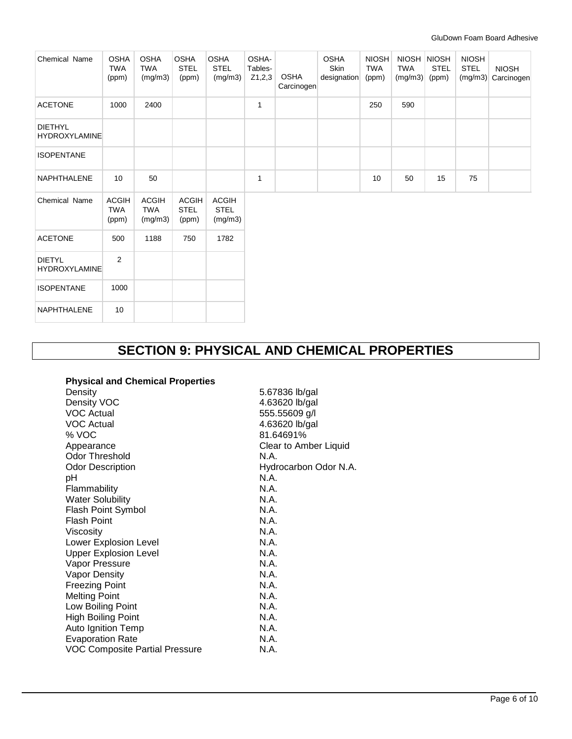| Chemical Name                          | <b>OSHA</b><br><b>TWA</b><br>(ppm)  | <b>OSHA</b><br><b>TWA</b><br>(mg/m3)  | <b>OSHA</b><br><b>STEL</b><br>(ppm)  | <b>OSHA</b><br><b>STEL</b><br>(mg/m3)  | OSHA-<br>Tables-<br>Z1,2,3 | <b>OSHA</b><br>Carcinogen | <b>OSHA</b><br>Skin<br>designation | <b>NIOSH</b><br><b>TWA</b><br>(ppm) | <b>NIOSH</b><br><b>TWA</b><br>(mg/m3) | <b>NIOSH</b><br><b>STEL</b><br>(ppm) | <b>NIOSH</b><br><b>STEL</b><br>(mg/m3) | <b>NIOSH</b><br>Carcinogen |
|----------------------------------------|-------------------------------------|---------------------------------------|--------------------------------------|----------------------------------------|----------------------------|---------------------------|------------------------------------|-------------------------------------|---------------------------------------|--------------------------------------|----------------------------------------|----------------------------|
| <b>ACETONE</b>                         | 1000                                | 2400                                  |                                      |                                        | $\mathbf{1}$               |                           |                                    | 250                                 | 590                                   |                                      |                                        |                            |
| <b>DIETHYL</b><br><b>HYDROXYLAMINE</b> |                                     |                                       |                                      |                                        |                            |                           |                                    |                                     |                                       |                                      |                                        |                            |
| <b>ISOPENTANE</b>                      |                                     |                                       |                                      |                                        |                            |                           |                                    |                                     |                                       |                                      |                                        |                            |
| NAPHTHALENE                            | 10 <sup>1</sup>                     | 50                                    |                                      |                                        | 1                          |                           |                                    | 10                                  | 50                                    | 15                                   | 75                                     |                            |
| Chemical Name                          | <b>ACGIH</b><br><b>TWA</b><br>(ppm) | <b>ACGIH</b><br><b>TWA</b><br>(mg/m3) | <b>ACGIH</b><br><b>STEL</b><br>(ppm) | <b>ACGIH</b><br><b>STEL</b><br>(mg/m3) |                            |                           |                                    |                                     |                                       |                                      |                                        |                            |
| <b>ACETONE</b>                         | 500                                 | 1188                                  | 750                                  | 1782                                   |                            |                           |                                    |                                     |                                       |                                      |                                        |                            |
| <b>DIETYL</b><br><b>HYDROXYLAMINE</b>  | 2                                   |                                       |                                      |                                        |                            |                           |                                    |                                     |                                       |                                      |                                        |                            |
| <b>ISOPENTANE</b>                      | 1000                                |                                       |                                      |                                        |                            |                           |                                    |                                     |                                       |                                      |                                        |                            |
| NAPHTHALENE                            | 10                                  |                                       |                                      |                                        |                            |                           |                                    |                                     |                                       |                                      |                                        |                            |

## **SECTION 9: PHYSICAL AND CHEMICAL PROPERTIES**

### **Physical and Chemical Properties**

Density Density VOC VOC Actual VOC Actual % VOC Appearance Odor Threshold Odor Description pH Flammability Water Solubility Flash Point Symbol Flash Point Viscosity Lower Explosion Level Upper Explosion Level Vapor Pressure Vapor Density Freezing Point Melting Point Low Boiling Point High Boiling Point Auto Ignition Temp Evaporation Rate VOC Composite Partial Pressure

5.67836 lb/gal 4.63620 lb/gal 555.55609 g/l 4.63620 lb/gal 81.64691% Clear to Amber Liquid N.A. Hydrocarbon Odor N.A. N.A. N.A. N.A. N.A. N.A. N.A. N.A. N.A. N.A. N.A. N.A. N.A. N.A. N.A. N.A. N.A. N.A.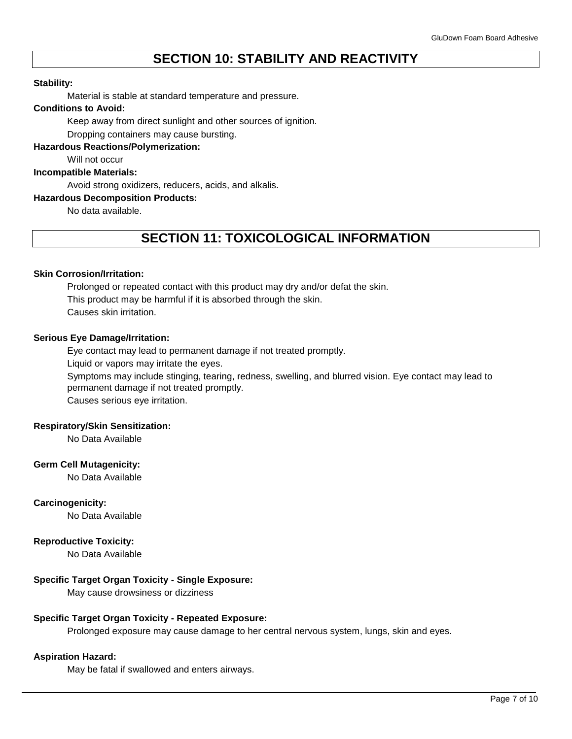## **SECTION 10: STABILITY AND REACTIVITY**

#### **Stability:**

Material is stable at standard temperature and pressure.

#### **Conditions to Avoid:**

Keep away from direct sunlight and other sources of ignition.

Dropping containers may cause bursting.

## **Hazardous Reactions/Polymerization:**

Will not occur

## **Incompatible Materials:**

Avoid strong oxidizers, reducers, acids, and alkalis.

### **Hazardous Decomposition Products:**

No data available.

## **SECTION 11: TOXICOLOGICAL INFORMATION**

#### **Skin Corrosion/Irritation:**

Prolonged or repeated contact with this product may dry and/or defat the skin. This product may be harmful if it is absorbed through the skin. Causes skin irritation.

#### **Serious Eye Damage/Irritation:**

Eye contact may lead to permanent damage if not treated promptly.

Liquid or vapors may irritate the eyes.

Symptoms may include stinging, tearing, redness, swelling, and blurred vision. Eye contact may lead to permanent damage if not treated promptly. Causes serious eye irritation.

#### **Respiratory/Skin Sensitization:**

No Data Available

#### **Germ Cell Mutagenicity:**

No Data Available

## **Carcinogenicity:**

No Data Available

### **Reproductive Toxicity:**

No Data Available

## **Specific Target Organ Toxicity - Single Exposure:**

May cause drowsiness or dizziness

#### **Specific Target Organ Toxicity - Repeated Exposure:**

Prolonged exposure may cause damage to her central nervous system, lungs, skin and eyes.

#### **Aspiration Hazard:**

May be fatal if swallowed and enters airways.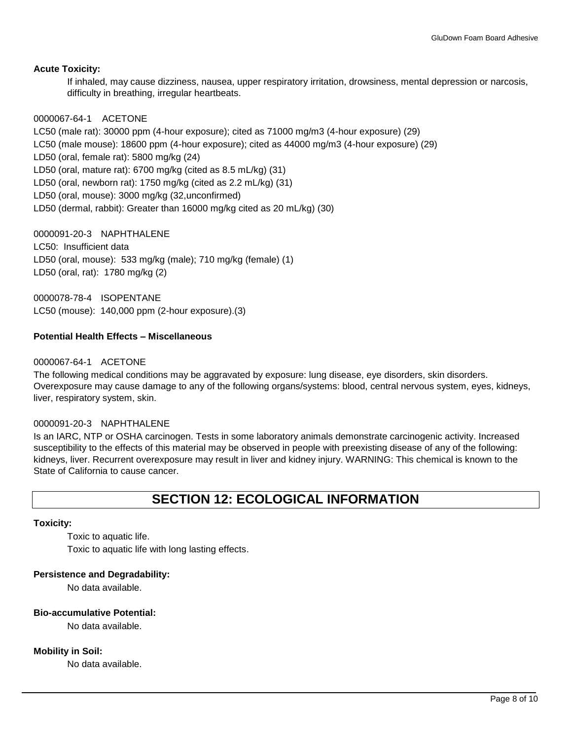## **Acute Toxicity:**

If inhaled, may cause dizziness, nausea, upper respiratory irritation, drowsiness, mental depression or narcosis, difficulty in breathing, irregular heartbeats.

## 0000067-64-1 ACETONE

LC50 (male rat): 30000 ppm (4-hour exposure); cited as 71000 mg/m3 (4-hour exposure) (29) LC50 (male mouse): 18600 ppm (4-hour exposure); cited as 44000 mg/m3 (4-hour exposure) (29) LD50 (oral, female rat): 5800 mg/kg (24) LD50 (oral, mature rat): 6700 mg/kg (cited as 8.5 mL/kg) (31) LD50 (oral, newborn rat): 1750 mg/kg (cited as 2.2 mL/kg) (31) LD50 (oral, mouse): 3000 mg/kg (32,unconfirmed) LD50 (dermal, rabbit): Greater than 16000 mg/kg cited as 20 mL/kg) (30)

0000091-20-3 NAPHTHALENE LC50: Insufficient data LD50 (oral, mouse): 533 mg/kg (male); 710 mg/kg (female) (1) LD50 (oral, rat): 1780 mg/kg (2)

0000078-78-4 ISOPENTANE LC50 (mouse): 140,000 ppm (2-hour exposure).(3)

## **Potential Health Effects – Miscellaneous**

## 0000067-64-1 ACETONE

The following medical conditions may be aggravated by exposure: lung disease, eye disorders, skin disorders. Overexposure may cause damage to any of the following organs/systems: blood, central nervous system, eyes, kidneys, liver, respiratory system, skin.

### 0000091-20-3 NAPHTHALENE

Is an IARC, NTP or OSHA carcinogen. Tests in some laboratory animals demonstrate carcinogenic activity. Increased susceptibility to the effects of this material may be observed in people with preexisting disease of any of the following: kidneys, liver. Recurrent overexposure may result in liver and kidney injury. WARNING: This chemical is known to the State of California to cause cancer.

## **SECTION 12: ECOLOGICAL INFORMATION**

### **Toxicity:**

Toxic to aquatic life. Toxic to aquatic life with long lasting effects.

### **Persistence and Degradability:**

No data available.

#### **Bio-accumulative Potential:**

No data available.

### **Mobility in Soil:**

No data available.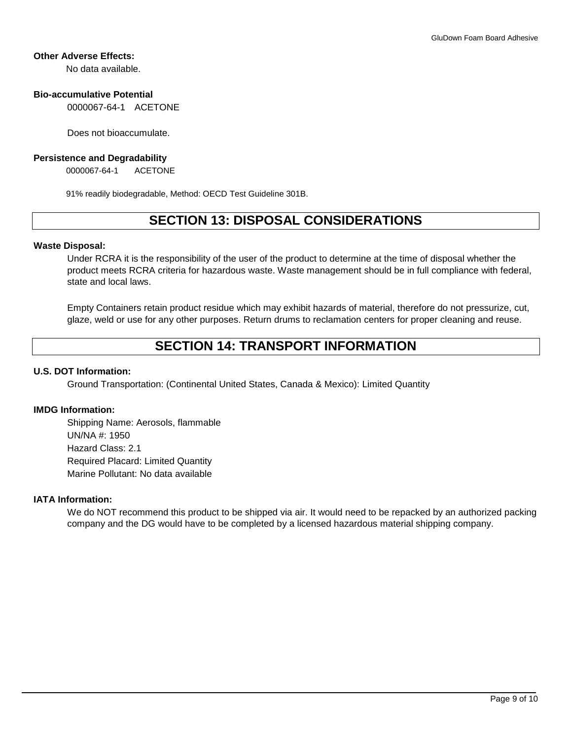## **Other Adverse Effects:**

No data available.

## **Bio-accumulative Potential**

0000067-64-1 ACETONE

Does not bioaccumulate.

#### **Persistence and Degradability**

0000067-64-1 ACETONE

91% readily biodegradable, Method: OECD Test Guideline 301B.

# **SECTION 13: DISPOSAL CONSIDERATIONS**

### **Waste Disposal:**

Under RCRA it is the responsibility of the user of the product to determine at the time of disposal whether the product meets RCRA criteria for hazardous waste. Waste management should be in full compliance with federal, state and local laws.

Empty Containers retain product residue which may exhibit hazards of material, therefore do not pressurize, cut, glaze, weld or use for any other purposes. Return drums to reclamation centers for proper cleaning and reuse.

## **SECTION 14: TRANSPORT INFORMATION**

## **U.S. DOT Information:**

Ground Transportation: (Continental United States, Canada & Mexico): Limited Quantity

### **IMDG Information:**

Shipping Name: Aerosols, flammable UN/NA #: 1950 Hazard Class: 2.1 Required Placard: Limited Quantity Marine Pollutant: No data available

## **IATA Information:**

We do NOT recommend this product to be shipped via air. It would need to be repacked by an authorized packing company and the DG would have to be completed by a licensed hazardous material shipping company.